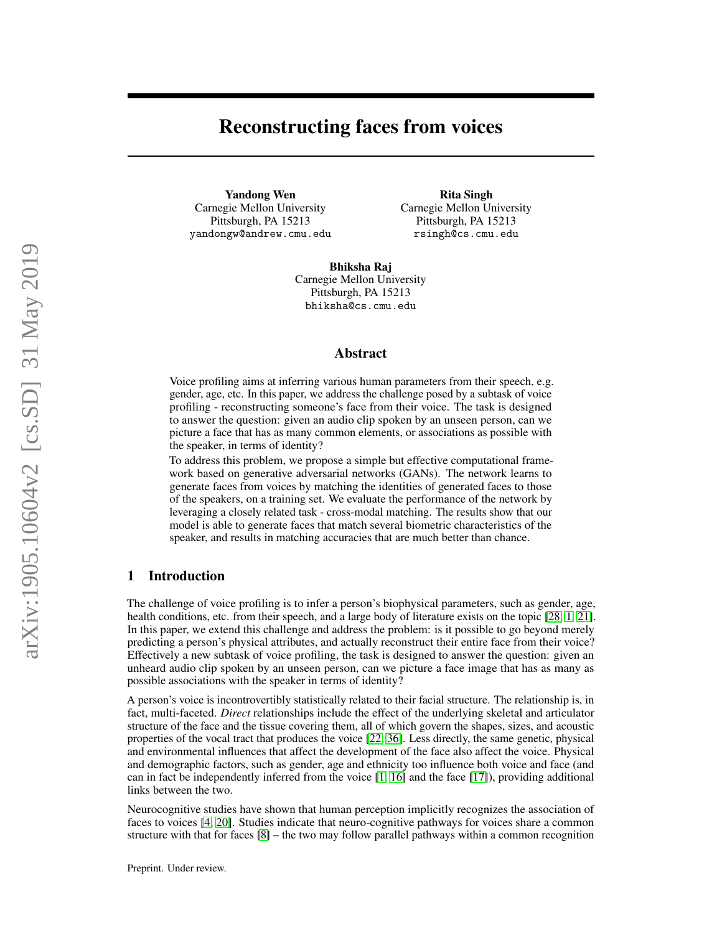# Reconstructing faces from voices

Yandong Wen Carnegie Mellon University Pittsburgh, PA 15213 yandongw@andrew.cmu.edu

Rita Singh Carnegie Mellon University Pittsburgh, PA 15213 rsingh@cs.cmu.edu

Bhiksha Raj Carnegie Mellon University Pittsburgh, PA 15213 bhiksha@cs.cmu.edu

### Abstract

Voice profiling aims at inferring various human parameters from their speech, e.g. gender, age, etc. In this paper, we address the challenge posed by a subtask of voice profiling - reconstructing someone's face from their voice. The task is designed to answer the question: given an audio clip spoken by an unseen person, can we picture a face that has as many common elements, or associations as possible with the speaker, in terms of identity?

To address this problem, we propose a simple but effective computational framework based on generative adversarial networks (GANs). The network learns to generate faces from voices by matching the identities of generated faces to those of the speakers, on a training set. We evaluate the performance of the network by leveraging a closely related task - cross-modal matching. The results show that our model is able to generate faces that match several biometric characteristics of the speaker, and results in matching accuracies that are much better than chance.

# 1 Introduction

The challenge of voice profiling is to infer a person's biophysical parameters, such as gender, age, health conditions, etc. from their speech, and a large body of literature exists on the topic [\[28,](#page-9-0) [1,](#page-8-0) [21\]](#page-9-1). In this paper, we extend this challenge and address the problem: is it possible to go beyond merely predicting a person's physical attributes, and actually reconstruct their entire face from their voice? Effectively a new subtask of voice profiling, the task is designed to answer the question: given an unheard audio clip spoken by an unseen person, can we picture a face image that has as many as possible associations with the speaker in terms of identity?

A person's voice is incontrovertibly statistically related to their facial structure. The relationship is, in fact, multi-faceted. *Direct* relationships include the effect of the underlying skeletal and articulator structure of the face and the tissue covering them, all of which govern the shapes, sizes, and acoustic properties of the vocal tract that produces the voice [\[22,](#page-9-2) [36\]](#page-9-3). Less directly, the same genetic, physical and environmental influences that affect the development of the face also affect the voice. Physical and demographic factors, such as gender, age and ethnicity too influence both voice and face (and can in fact be independently inferred from the voice [\[1,](#page-8-0) [16\]](#page-8-1) and the face [\[17\]](#page-8-2)), providing additional links between the two.

Neurocognitive studies have shown that human perception implicitly recognizes the association of faces to voices [\[4,](#page-8-3) [20\]](#page-8-4). Studies indicate that neuro-cognitive pathways for voices share a common structure with that for faces [\[8\]](#page-8-5) – the two may follow parallel pathways within a common recognition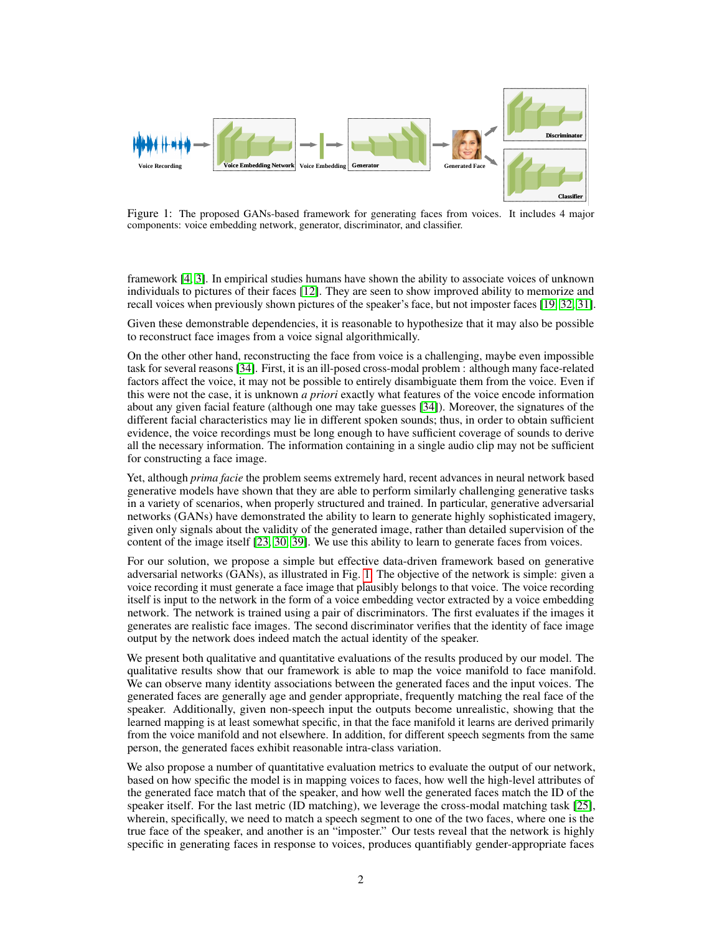

<span id="page-1-0"></span>Figure 1: The proposed GANs-based framework for generating faces from voices. It includes 4 major components: voice embedding network, generator, discriminator, and classifier.

framework [\[4,](#page-8-3) [3\]](#page-8-6). In empirical studies humans have shown the ability to associate voices of unknown individuals to pictures of their faces [\[12\]](#page-8-7). They are seen to show improved ability to memorize and recall voices when previously shown pictures of the speaker's face, but not imposter faces [\[19,](#page-8-8) [32,](#page-9-4) [31\]](#page-9-5).

Given these demonstrable dependencies, it is reasonable to hypothesize that it may also be possible to reconstruct face images from a voice signal algorithmically.

On the other other hand, reconstructing the face from voice is a challenging, maybe even impossible task for several reasons [\[34\]](#page-9-6). First, it is an ill-posed cross-modal problem : although many face-related factors affect the voice, it may not be possible to entirely disambiguate them from the voice. Even if this were not the case, it is unknown *a priori* exactly what features of the voice encode information about any given facial feature (although one may take guesses [\[34\]](#page-9-6)). Moreover, the signatures of the different facial characteristics may lie in different spoken sounds; thus, in order to obtain sufficient evidence, the voice recordings must be long enough to have sufficient coverage of sounds to derive all the necessary information. The information containing in a single audio clip may not be sufficient for constructing a face image.

Yet, although *prima facie* the problem seems extremely hard, recent advances in neural network based generative models have shown that they are able to perform similarly challenging generative tasks in a variety of scenarios, when properly structured and trained. In particular, generative adversarial networks (GANs) have demonstrated the ability to learn to generate highly sophisticated imagery, given only signals about the validity of the generated image, rather than detailed supervision of the content of the image itself [\[23,](#page-9-7) [30,](#page-9-8) [39\]](#page-9-9). We use this ability to learn to generate faces from voices.

For our solution, we propose a simple but effective data-driven framework based on generative adversarial networks (GANs), as illustrated in Fig. [1.](#page-1-0) The objective of the network is simple: given a voice recording it must generate a face image that plausibly belongs to that voice. The voice recording itself is input to the network in the form of a voice embedding vector extracted by a voice embedding network. The network is trained using a pair of discriminators. The first evaluates if the images it generates are realistic face images. The second discriminator verifies that the identity of face image output by the network does indeed match the actual identity of the speaker.

We present both qualitative and quantitative evaluations of the results produced by our model. The qualitative results show that our framework is able to map the voice manifold to face manifold. We can observe many identity associations between the generated faces and the input voices. The generated faces are generally age and gender appropriate, frequently matching the real face of the speaker. Additionally, given non-speech input the outputs become unrealistic, showing that the learned mapping is at least somewhat specific, in that the face manifold it learns are derived primarily from the voice manifold and not elsewhere. In addition, for different speech segments from the same person, the generated faces exhibit reasonable intra-class variation.

We also propose a number of quantitative evaluation metrics to evaluate the output of our network, based on how specific the model is in mapping voices to faces, how well the high-level attributes of the generated face match that of the speaker, and how well the generated faces match the ID of the speaker itself. For the last metric (ID matching), we leverage the cross-modal matching task [\[25\]](#page-9-10), wherein, specifically, we need to match a speech segment to one of the two faces, where one is the true face of the speaker, and another is an "imposter." Our tests reveal that the network is highly specific in generating faces in response to voices, produces quantifiably gender-appropriate faces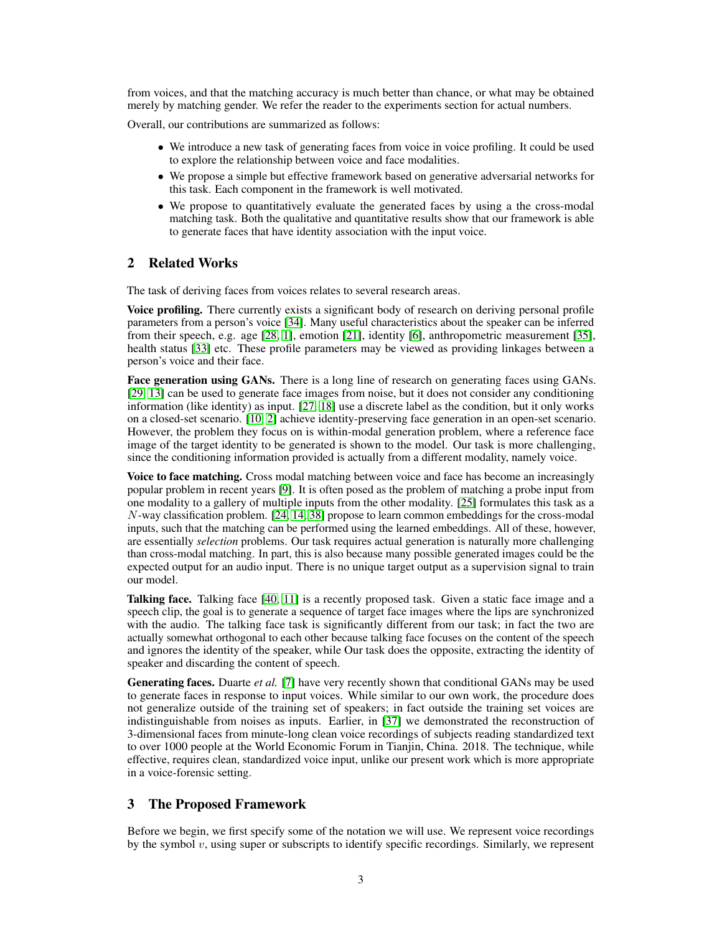from voices, and that the matching accuracy is much better than chance, or what may be obtained merely by matching gender. We refer the reader to the experiments section for actual numbers.

Overall, our contributions are summarized as follows:

- We introduce a new task of generating faces from voice in voice profiling. It could be used to explore the relationship between voice and face modalities.
- We propose a simple but effective framework based on generative adversarial networks for this task. Each component in the framework is well motivated.
- We propose to quantitatively evaluate the generated faces by using a the cross-modal matching task. Both the qualitative and quantitative results show that our framework is able to generate faces that have identity association with the input voice.

## 2 Related Works

The task of deriving faces from voices relates to several research areas.

Voice profiling. There currently exists a significant body of research on deriving personal profile parameters from a person's voice [\[34\]](#page-9-6). Many useful characteristics about the speaker can be inferred from their speech, e.g. age [\[28,](#page-9-0) [1\]](#page-8-0), emotion [\[21\]](#page-9-1), identity [\[6\]](#page-8-9), anthropometric measurement [\[35\]](#page-9-11), health status [\[33\]](#page-9-12) etc. These profile parameters may be viewed as providing linkages between a person's voice and their face.

Face generation using GANs. There is a long line of research on generating faces using GANs. [\[29,](#page-9-13) [13\]](#page-8-10) can be used to generate face images from noise, but it does not consider any conditioning information (like identity) as input. [\[27,](#page-9-14) [18\]](#page-8-11) use a discrete label as the condition, but it only works on a closed-set scenario. [\[10,](#page-8-12) [2\]](#page-8-13) achieve identity-preserving face generation in an open-set scenario. However, the problem they focus on is within-modal generation problem, where a reference face image of the target identity to be generated is shown to the model. Our task is more challenging, since the conditioning information provided is actually from a different modality, namely voice.

Voice to face matching. Cross modal matching between voice and face has become an increasingly popular problem in recent years [\[9\]](#page-8-14). It is often posed as the problem of matching a probe input from one modality to a gallery of multiple inputs from the other modality. [\[25\]](#page-9-10) formulates this task as a N-way classification problem. [\[24,](#page-9-15) [14,](#page-8-15) [38\]](#page-9-16) propose to learn common embeddings for the cross-modal inputs, such that the matching can be performed using the learned embeddings. All of these, however, are essentially *selection* problems. Our task requires actual generation is naturally more challenging than cross-modal matching. In part, this is also because many possible generated images could be the expected output for an audio input. There is no unique target output as a supervision signal to train our model.

Talking face. Talking face [\[40,](#page-9-17) [11\]](#page-8-16) is a recently proposed task. Given a static face image and a speech clip, the goal is to generate a sequence of target face images where the lips are synchronized with the audio. The talking face task is significantly different from our task; in fact the two are actually somewhat orthogonal to each other because talking face focuses on the content of the speech and ignores the identity of the speaker, while Our task does the opposite, extracting the identity of speaker and discarding the content of speech.

Generating faces. Duarte et al. [\[7\]](#page-8-17) have very recently shown that conditional GANs may be used to generate faces in response to input voices. While similar to our own work, the procedure does not generalize outside of the training set of speakers; in fact outside the training set voices are indistinguishable from noises as inputs. Earlier, in [\[37\]](#page-9-18) we demonstrated the reconstruction of 3-dimensional faces from minute-long clean voice recordings of subjects reading standardized text to over 1000 people at the World Economic Forum in Tianjin, China. 2018. The technique, while effective, requires clean, standardized voice input, unlike our present work which is more appropriate in a voice-forensic setting.

### 3 The Proposed Framework

Before we begin, we first specify some of the notation we will use. We represent voice recordings by the symbol  $v$ , using super or subscripts to identify specific recordings. Similarly, we represent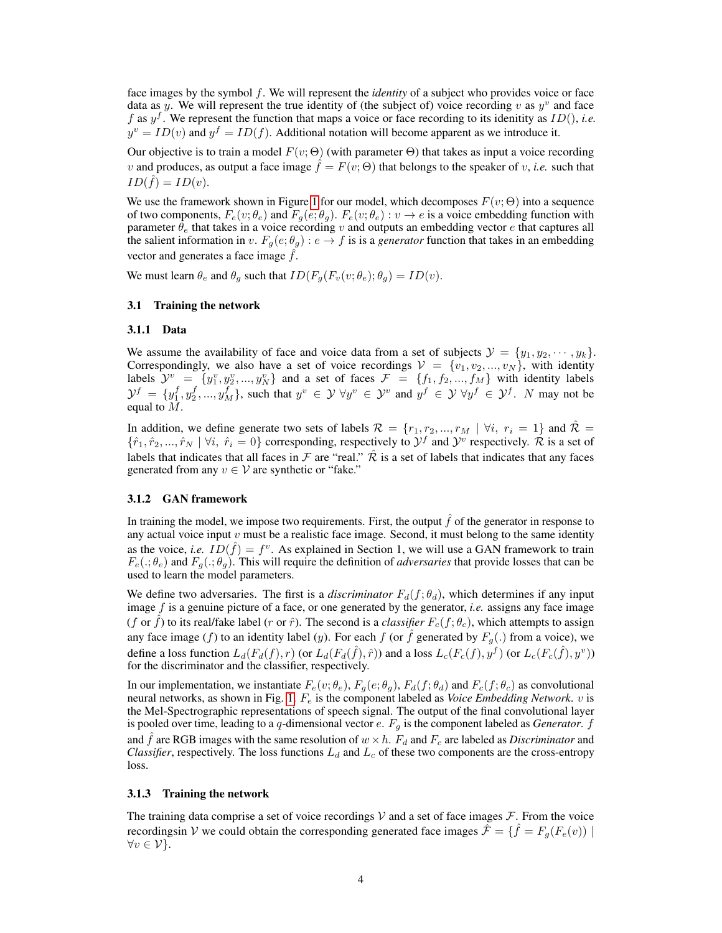face images by the symbol f. We will represent the *identity* of a subject who provides voice or face data as y. We will represent the true identity of (the subject of) voice recording v as  $y^v$  and face f as  $y<sup>f</sup>$ . We represent the function that maps a voice or face recording to its idenitity as  $ID()$ , *i.e.*  $y^v = ID(v)$  and  $y^f = ID(f)$ . Additional notation will become apparent as we introduce it.

Our objective is to train a model  $F(v; \Theta)$  (with parameter  $\Theta$ ) that takes as input a voice recording v and produces, as output a face image  $f = F(v; \Theta)$  that belongs to the speaker of v, *i.e.* such that  $ID(\hat{f}) = ID(v).$ 

We use the framework shown in Figure [1](#page-1-0) for our model, which decomposes  $F(v; \Theta)$  into a sequence of two components,  $F_e(v; \theta_e)$  and  $F_g(e; \theta_g)$ .  $F_e(v; \theta_e)$ :  $v \to e$  is a voice embedding function with parameter  $\hat{\theta}_e$  that takes in a voice recording v and outputs an embedding vector e that captures all the salient information in v.  $F_q(e; \theta_q) : e \to f$  is is a *generator* function that takes in an embedding vector and generates a face image  $\hat{f}$ .

We must learn  $\theta_e$  and  $\theta_g$  such that  $ID(F_q(F_v(v; \theta_e); \theta_g) = ID(v)$ .

### 3.1 Training the network

### 3.1.1 Data

We assume the availability of face and voice data from a set of subjects  $\mathcal{Y} = \{y_1, y_2, \dots, y_k\}.$ Correspondingly, we also have a set of voice recordings  $V = \{v_1, v_2, ..., v_N\}$ , with identity labels  $\mathcal{Y}^v = \{y_1^v, y_2^v, ..., y_N^v\}$  and a set of faces  $\mathcal{F} = \{f_1, f_2, ..., f_M\}$  with identity labels  $\mathcal{Y}^f = \{y_1^f, y_2^f, ..., y_M^f\}$ , such that  $y^v \in \mathcal{Y} \forall y^v \in \mathcal{Y}^v$  and  $y^f \in \mathcal{Y} \forall y^f \in \mathcal{Y}^f$ . N may not be equal to  $\overline{M}$ .

In addition, we define generate two sets of labels  $\mathcal{R} = \{r_1, r_2, ..., r_M \mid \forall i, r_i = 1\}$  and  $\hat{\mathcal{R}} =$  $\{\hat{r}_1, \hat{r}_2, ..., \hat{r}_N \mid \forall i, \hat{r}_i = 0\}$  corresponding, respectively to  $\mathcal{Y}^f$  and  $\mathcal{Y}^v$  respectively.  $\mathcal{R}$  is a set of labels that indicates that all faces in F are "real."  $\hat{\mathcal{R}}$  is a set of labels that indicates that any faces generated from any  $v \in V$  are synthetic or "fake."

### 3.1.2 GAN framework

In training the model, we impose two requirements. First, the output  $\hat{f}$  of the generator in response to any actual voice input  $v$  must be a realistic face image. Second, it must belong to the same identity as the voice, *i.e.*  $ID(\hat{f}) = f^v$ . As explained in Section 1, we will use a GAN framework to train  $F_e(.;\theta_e)$  and  $F_a(.;\theta_a)$ . This will require the definition of *adversaries* that provide losses that can be used to learn the model parameters.

We define two adversaries. The first is a *discriminator*  $F_d(f; \theta_d)$ , which determines if any input image f is a genuine picture of a face, or one generated by the generator, *i.e.* assigns any face image (f or  $\hat{f}$ ) to its real/fake label (r or  $\hat{r}$ ). The second is a *classifier*  $F_c(f; \theta_c)$ , which attempts to assign any face image (f) to an identity label (y). For each f (or  $\hat{f}$  generated by  $F_g(.)$  from a voice), we define a loss function  $L_d(F_d(f), r)$  (or  $L_d(F_d(\hat{f}), \hat{r})$ ) and a loss  $L_c(F_c(f), y^f)$  (or  $L_c(F_c(\hat{f}), y^v)$ ) for the discriminator and the classifier, respectively.

In our implementation, we instantiate  $F_e(v; \theta_e)$ ,  $F_q(e; \theta_q)$ ,  $F_d(f; \theta_d)$  and  $F_c(f; \theta_c)$  as convolutional neural networks, as shown in Fig. [1.](#page-1-0) F<sup>e</sup> is the component labeled as *Voice Embedding Network*. v is the Mel-Spectrographic representations of speech signal. The output of the final convolutional layer is pooled over time, leading to a  $q$ -dimensional vector  $e$ .  $F_g$  is the component labeled as *Generator*.  $f$ and  $\hat{f}$  are RGB images with the same resolution of  $w \times h$ .  $F_d$  and  $F_c$  are labeled as *Discriminator* and *Classifier*, respectively. The loss functions  $L_d$  and  $L_c$  of these two components are the cross-entropy loss.

### 3.1.3 Training the network

The training data comprise a set of voice recordings  $V$  and a set of face images  $\mathcal{F}$ . From the voice recordingsin V we could obtain the corresponding generated face images  $\hat{\mathcal{F}} = \{\hat{f} = F_g(F_e(v)) \mid \hat{f} = F_g(F_e(v))\}$  $\forall v \in \mathcal{V}\}.$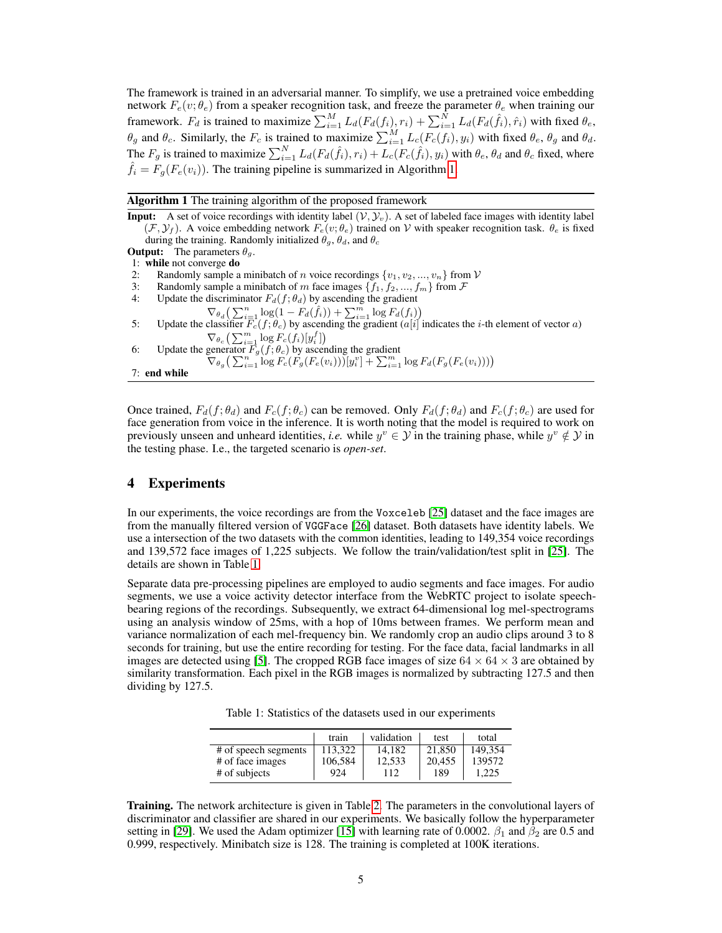The framework is trained in an adversarial manner. To simplify, we use a pretrained voice embedding network  $F_e(v; \theta_e)$  from a speaker recognition task, and freeze the parameter  $\theta_e$  when training our framework.  $F_d$  is trained to maximize  $\sum_{i=1}^{M} L_d(F_d(f_i), r_i) + \sum_{i=1}^{N} L_d(F_d(\hat{f}_i), \hat{r}_i)$  with fixed  $\theta_e$ ,  $\theta_g$  and  $\theta_c$ . Similarly, the  $F_c$  is trained to maximize  $\sum_{i=1}^{M} L_c(F_c(f_i), y_i)$  with fixed  $\theta_e$ ,  $\theta_g$  and  $\theta_d$ . The  $F_g$  is trained to maximize  $\sum_{i=1}^{N} L_d(F_d(\hat{f}_i), r_i) + L_c(F_c(\hat{f}_i), y_i)$  with  $\theta_e$ ,  $\theta_d$  and  $\theta_c$  fixed, where  $f_i = F_q(F_e(v_i))$ . The training pipeline is summarized in Algorithm [1.](#page-4-0)

Algorithm 1 The training algorithm of the proposed framework

<span id="page-4-0"></span>**Input:** A set of voice recordings with identity label  $(V, Y_v)$ . A set of labeled face images with identity label  $(\mathcal{F}, \mathcal{Y}_f)$ . A voice embedding network  $F_e(v; \theta_e)$  trained on V with speaker recognition task.  $\theta_e$  is fixed during the training. Randomly initialized  $\theta_g$ ,  $\theta_d$ , and  $\theta_c$ **Output:** The parameters  $\theta_a$ . 1: while not converge do 2: Randomly sample a minibatch of *n* voice recordings  $\{v_1, v_2, ..., v_n\}$  from  $V$ 3: Randomly sample a minibatch of m face images  $\{f_1, f_2, ..., f_m\}$  from  $\mathcal F$ 4: Update the discriminator  $F_d(f; \theta_d)$  by ascending the gradient  $\nabla_{\theta_d} \left( \sum_{i=1}^n \log(1 - F_d(\hat{f}_i)) + \sum_{i=1}^m \log F_d(f_i) \right)$ 5: Update the classifier  $\overline{F_c}(f; \theta_c)$  by ascending the gradient  $\overline{(a[i]}$  indicates the *i*-th element of vector *a*)  $\nabla_{\theta_c} \left( \sum_{i=1}^m \log F_c(f_i)[y_i^f] \right)$ 6: Update the generator  $F_g(f; \theta_c)$  by ascending the gradient  $\nabla_{\theta_g} \big( \sum_{i=1}^n \log \widehat{F_c}(\widehat{F_g}(F_e(v_i)))[y_i^v] + \sum_{i=1}^m \log \widehat{F_d}(F_g(F_e(v_i))) \big)$ 7: end while

Once trained,  $F_d(f; \theta_d)$  and  $F_c(f; \theta_c)$  can be removed. Only  $F_d(f; \theta_d)$  and  $F_c(f; \theta_c)$  are used for face generation from voice in the inference. It is worth noting that the model is required to work on previously unseen and unheard identities, *i.e.* while  $y^v \in Y$  in the training phase, while  $y^v \notin Y$  in the testing phase. I.e., the targeted scenario is *open-set*.

## 4 Experiments

In our experiments, the voice recordings are from the Voxceleb [\[25\]](#page-9-10) dataset and the face images are from the manually filtered version of VGGFace [\[26\]](#page-9-19) dataset. Both datasets have identity labels. We use a intersection of the two datasets with the common identities, leading to 149,354 voice recordings and 139,572 face images of 1,225 subjects. We follow the train/validation/test split in [\[25\]](#page-9-10). The details are shown in Table [1.](#page-4-1)

Separate data pre-processing pipelines are employed to audio segments and face images. For audio segments, we use a voice activity detector interface from the WebRTC project to isolate speechbearing regions of the recordings. Subsequently, we extract 64-dimensional log mel-spectrograms using an analysis window of 25ms, with a hop of 10ms between frames. We perform mean and variance normalization of each mel-frequency bin. We randomly crop an audio clips around 3 to 8 seconds for training, but use the entire recording for testing. For the face data, facial landmarks in all images are detected using [\[5\]](#page-8-18). The cropped RGB face images of size  $64 \times 64 \times 3$  are obtained by similarity transformation. Each pixel in the RGB images is normalized by subtracting 127.5 and then dividing by 127.5.

Table 1: Statistics of the datasets used in our experiments

<span id="page-4-1"></span>

|                      | train   | validation | test   | total   |
|----------------------|---------|------------|--------|---------|
| # of speech segments | 113.322 | 14.182     | 21,850 | 149.354 |
| # of face images     | 106.584 | 12,533     | 20.455 | 139572  |
| # of subjects        | 924     | 112        | 189    | 1.225   |

Training. The network architecture is given in Table [2.](#page-5-0) The parameters in the convolutional layers of discriminator and classifier are shared in our experiments. We basically follow the hyperparameter setting in [\[29\]](#page-9-13). We used the Adam optimizer [\[15\]](#page-8-19) with learning rate of 0.0002.  $\beta_1$  and  $\beta_2$  are 0.5 and 0.999, respectively. Minibatch size is 128. The training is completed at 100K iterations.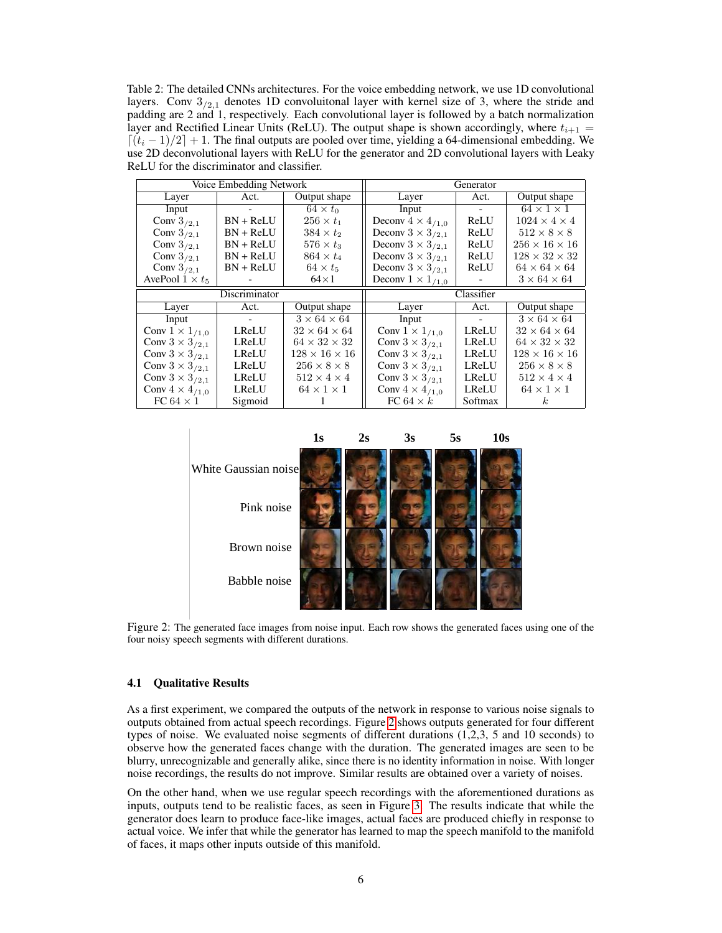<span id="page-5-0"></span>Table 2: The detailed CNNs architectures. For the voice embedding network, we use 1D convolutional layers. Conv  $3_{/2,1}$  denotes 1D convolutional layer with kernel size of 3, where the stride and padding are 2 and 1, respectively. Each convolutional layer is followed by a batch normalization layer and Rectified Linear Units (ReLU). The output shape is shown accordingly, where  $t_{i+1} =$  $\left[\frac{(t_i - 1)}{2}\right] + 1$ . The final outputs are pooled over time, yielding a 64-dimensional embedding. We use 2D deconvolutional layers with ReLU for the generator and 2D convolutional layers with Leaky ReLU for the discriminator and classifier.

| Voice Embedding Network  |             | Generator                 |                            |                          |                           |
|--------------------------|-------------|---------------------------|----------------------------|--------------------------|---------------------------|
| Layer                    | Act.        | Output shape              | Layer                      | Act.                     | Output shape              |
| Input                    |             | $64 \times t_0$           | Input                      | $\overline{\phantom{a}}$ | $64 \times 1 \times 1$    |
| Conv $3/2.1$             | $BN + ReLU$ | $256 \times t_1$          | Deconv $4 \times 4_{/1,0}$ | ReLU                     | $1024 \times 4 \times 4$  |
| Conv $3_{/2,1}$          | $BN + ReLU$ | $384 \times t_2$          | Deconv $3 \times 3_{/2,1}$ | ReLU                     | $512 \times 8 \times 8$   |
| Conv $3_{/2,1}$          | $BN + ReLU$ | $576 \times t_3$          | Deconv $3 \times 3_{/2,1}$ | ReLU                     | $256 \times 16 \times 16$ |
| Conv $3_{/2,1}$          | $BN + ReLU$ | $864 \times t_4$          | Deconv $3 \times 3_{/2,1}$ | ReLU                     | $128 \times 32 \times 32$ |
| Conv $3_{/2,1}$          | $BN + ReLU$ | $64 \times t_5$           | Deconv $3 \times 3_{/2,1}$ | ReLU                     | $64 \times 64 \times 64$  |
| AvePool $1 \times t_5$   |             | $64\times1$               | Deconv $1 \times 1_{/1,0}$ |                          | $3 \times 64 \times 64$   |
| Discriminator            |             | Classifier                |                            |                          |                           |
| Layer                    | Act.        | Output shape              | Layer                      | Act.                     | Output shape              |
| Input                    |             | $3 \times 64 \times 64$   | Input                      | $\blacksquare$           | $3 \times 64 \times 64$   |
| Conv $1 \times 1_{/1,0}$ | LReLU       | $32 \times 64 \times 64$  | Conv $1 \times 1_{/1,0}$   | LReLU                    | $32 \times 64 \times 64$  |
| Conv $3 \times 3_{/2,1}$ | LReLU       | $64 \times 32 \times 32$  | Conv $3 \times 3_{/2,1}$   | <b>LReLU</b>             | $64 \times 32 \times 32$  |
| Conv $3 \times 3_{/2,1}$ | LReLU       | $128 \times 16 \times 16$ | Conv $3 \times 3_{/2,1}$   | <b>LReLU</b>             | $128 \times 16 \times 16$ |
| Conv $3 \times 3_{/2,1}$ | LReLU       | $256 \times 8 \times 8$   | Conv $3 \times 3_{/2,1}$   | <b>LReLU</b>             | $256 \times 8 \times 8$   |
| Conv $3 \times 3_{/2,1}$ | LReLU       | $512 \times 4 \times 4$   | Conv $3 \times 3_{/2,1}$   | LReLU                    | $512 \times 4 \times 4$   |
| Conv $4 \times 4_{/1,0}$ | LReLU       | $64 \times 1 \times 1$    | Conv $4 \times 4_{/1,0}$   | LReLU                    | $64 \times 1 \times 1$    |
| FC 64 $\times$ 1         | Sigmoid     |                           | FC 64 $\times k$           | Softmax                  | $\kappa$                  |

<span id="page-5-1"></span>

Figure 2: The generated face images from noise input. Each row shows the generated faces using one of the four noisy speech segments with different durations.

### 4.1 Qualitative Results

As a first experiment, we compared the outputs of the network in response to various noise signals to outputs obtained from actual speech recordings. Figure [2](#page-5-1) shows outputs generated for four different types of noise. We evaluated noise segments of different durations (1,2,3, 5 and 10 seconds) to observe how the generated faces change with the duration. The generated images are seen to be blurry, unrecognizable and generally alike, since there is no identity information in noise. With longer noise recordings, the results do not improve. Similar results are obtained over a variety of noises.

On the other hand, when we use regular speech recordings with the aforementioned durations as inputs, outputs tend to be realistic faces, as seen in Figure [3.](#page-6-0) The results indicate that while the generator does learn to produce face-like images, actual faces are produced chiefly in response to actual voice. We infer that while the generator has learned to map the speech manifold to the manifold of faces, it maps other inputs outside of this manifold.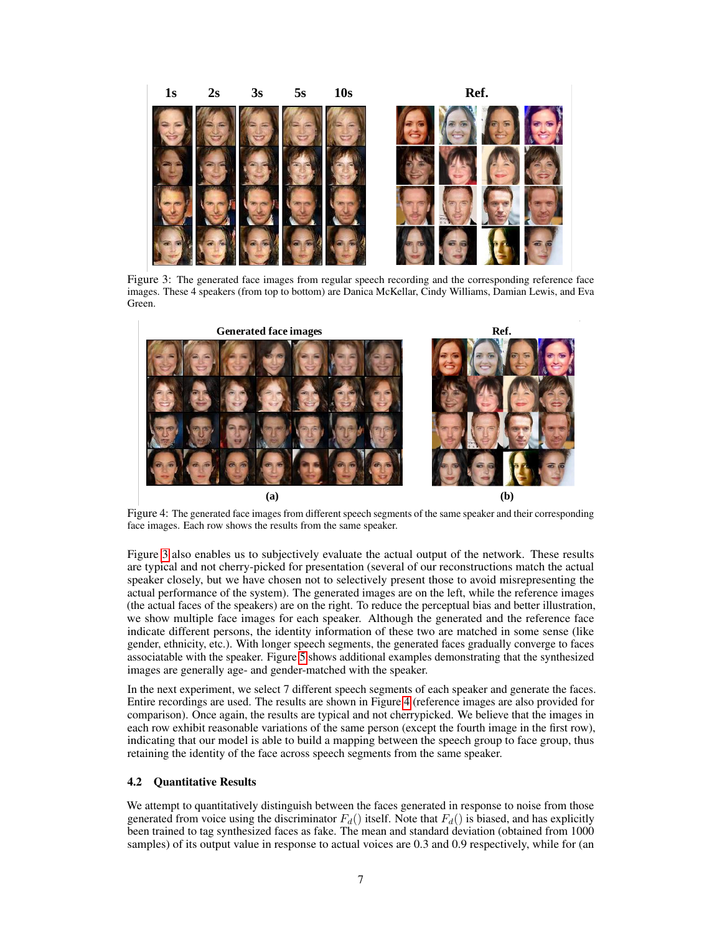# **1s 2s 3s 5s 10s Ref.**

Figure 3: The generated face images from regular speech recording and the corresponding reference face images. These 4 speakers (from top to bottom) are Danica McKellar, Cindy Williams, Damian Lewis, and Eva Green.

<span id="page-6-0"></span>

<span id="page-6-1"></span>Figure 4: The generated face images from different speech segments of the same speaker and their corresponding face images. Each row shows the results from the same speaker.

Figure [3](#page-6-0) also enables us to subjectively evaluate the actual output of the network. These results are typical and not cherry-picked for presentation (several of our reconstructions match the actual speaker closely, but we have chosen not to selectively present those to avoid misrepresenting the actual performance of the system). The generated images are on the left, while the reference images (the actual faces of the speakers) are on the right. To reduce the perceptual bias and better illustration, we show multiple face images for each speaker. Although the generated and the reference face indicate different persons, the identity information of these two are matched in some sense (like gender, ethnicity, etc.). With longer speech segments, the generated faces gradually converge to faces associatable with the speaker. Figure [5](#page-7-0) shows additional examples demonstrating that the synthesized images are generally age- and gender-matched with the speaker.

In the next experiment, we select 7 different speech segments of each speaker and generate the faces. Entire recordings are used. The results are shown in Figure [4](#page-6-1) (reference images are also provided for comparison). Once again, the results are typical and not cherrypicked. We believe that the images in each row exhibit reasonable variations of the same person (except the fourth image in the first row), indicating that our model is able to build a mapping between the speech group to face group, thus retaining the identity of the face across speech segments from the same speaker.

### 4.2 Quantitative Results

We attempt to quantitatively distinguish between the faces generated in response to noise from those generated from voice using the discriminator  $F_d()$  itself. Note that  $F_d()$  is biased, and has explicitly been trained to tag synthesized faces as fake. The mean and standard deviation (obtained from 1000 samples) of its output value in response to actual voices are 0.3 and 0.9 respectively, while for (an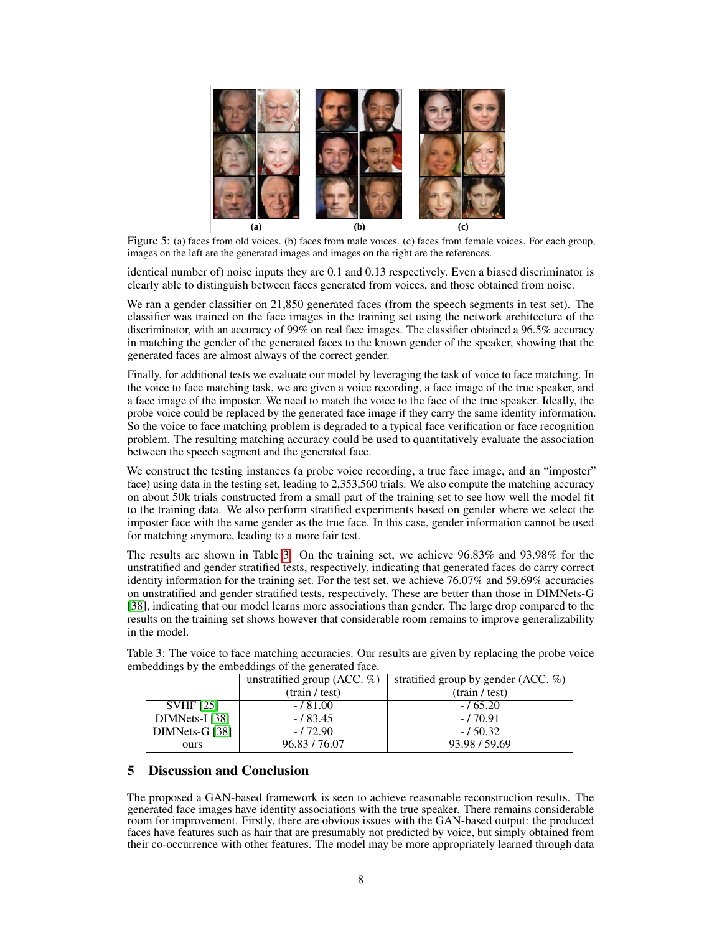

Figure 5: (a) faces from old voices. (b) faces from male voices. (c) faces from female voices. For each group, images on the left are the generated images and images on the right are the references.

<span id="page-7-0"></span>identical number of) noise inputs they are 0.1 and 0.13 respectively. Even a biased discriminator is clearly able to distinguish between faces generated from voices, and those obtained from noise.

We ran a gender classifier on 21,850 generated faces (from the speech segments in test set). The classifier was trained on the face images in the training set using the network architecture of the discriminator, with an accuracy of 99% on real face images. The classifier obtained a 96.5% accuracy in matching the gender of the generated faces to the known gender of the speaker, showing that the generated faces are almost always of the correct gender.

Finally, for additional tests we evaluate our model by leveraging the task of voice to face matching. In the voice to face matching task, we are given a voice recording, a face image of the true speaker, and a face image of the imposter. We need to match the voice to the face of the true speaker. Ideally, the probe voice could be replaced by the generated face image if they carry the same identity information. So the voice to face matching problem is degraded to a typical face verification or face recognition problem. The resulting matching accuracy could be used to quantitatively evaluate the association between the speech segment and the generated face.

We construct the testing instances (a probe voice recording, a true face image, and an "imposter" face) using data in the testing set, leading to 2,353,560 trials. We also compute the matching accuracy on about 50k trials constructed from a small part of the training set to see how well the model fit to the training data. We also perform stratified experiments based on gender where we select the imposter face with the same gender as the true face. In this case, gender information cannot be used for matching anymore, leading to a more fair test.

The results are shown in Table [3.](#page-7-1) On the training set, we achieve 96.83% and 93.98% for the unstratified and gender stratified tests, respectively, indicating that generated faces do carry correct identity information for the training set. For the test set, we achieve 76.07% and 59.69% accuracies on unstratified and gender stratified tests, respectively. These are better than those in DIMNets-G [\[38\]](#page-9-16), indicating that our model learns more associations than gender. The large drop compared to the results on the training set shows however that considerable room remains to improve generalizability in the model.

|                  | unstratified group (ACC. $\%$ ) | stratified group by gender $(ACC. %)$ |  |  |  |  |
|------------------|---------------------------------|---------------------------------------|--|--|--|--|
|                  | (train / test)                  | (train / test)                        |  |  |  |  |
| <b>SVHF [25]</b> | $-181.00$                       | $-165.20$                             |  |  |  |  |
| $DIMNets-I [38]$ | $-183.45$                       | $-170.91$                             |  |  |  |  |
| DIMNets-G [38]   | $-172.90$                       | $-150.32$                             |  |  |  |  |
| ours             | 96.83/76.07                     | 93.98 / 59.69                         |  |  |  |  |

<span id="page-7-1"></span>Table 3: The voice to face matching accuracies. Our results are given by replacing the probe voice embeddings by the embeddings of the generated face.

# 5 Discussion and Conclusion

The proposed a GAN-based framework is seen to achieve reasonable reconstruction results. The generated face images have identity associations with the true speaker. There remains considerable room for improvement. Firstly, there are obvious issues with the GAN-based output: the produced faces have features such as hair that are presumably not predicted by voice, but simply obtained from their co-occurrence with other features. The model may be more appropriately learned through data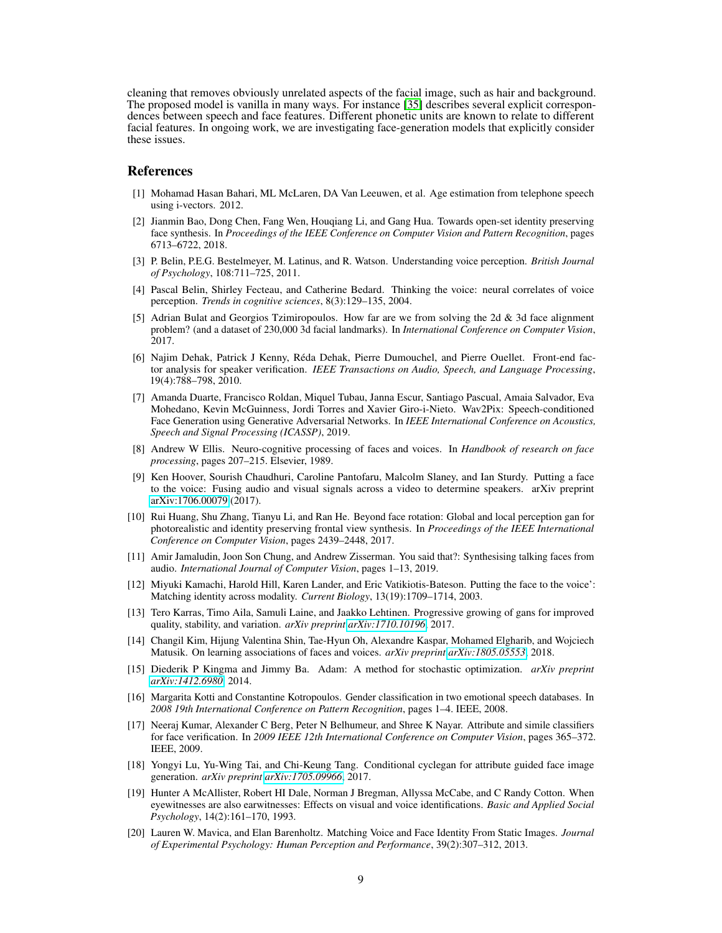cleaning that removes obviously unrelated aspects of the facial image, such as hair and background. The proposed model is vanilla in many ways. For instance [\[35\]](#page-9-11) describes several explicit correspondences between speech and face features. Different phonetic units are known to relate to different facial features. In ongoing work, we are investigating face-generation models that explicitly consider these issues.

### References

- <span id="page-8-0"></span>[1] Mohamad Hasan Bahari, ML McLaren, DA Van Leeuwen, et al. Age estimation from telephone speech using i-vectors. 2012.
- <span id="page-8-13"></span>[2] Jianmin Bao, Dong Chen, Fang Wen, Houqiang Li, and Gang Hua. Towards open-set identity preserving face synthesis. In *Proceedings of the IEEE Conference on Computer Vision and Pattern Recognition*, pages 6713–6722, 2018.
- <span id="page-8-6"></span>[3] P. Belin, P.E.G. Bestelmeyer, M. Latinus, and R. Watson. Understanding voice perception. *British Journal of Psychology*, 108:711–725, 2011.
- <span id="page-8-3"></span>[4] Pascal Belin, Shirley Fecteau, and Catherine Bedard. Thinking the voice: neural correlates of voice perception. *Trends in cognitive sciences*, 8(3):129–135, 2004.
- <span id="page-8-18"></span>[5] Adrian Bulat and Georgios Tzimiropoulos. How far are we from solving the 2d & 3d face alignment problem? (and a dataset of 230,000 3d facial landmarks). In *International Conference on Computer Vision*, 2017.
- <span id="page-8-9"></span>[6] Najim Dehak, Patrick J Kenny, Réda Dehak, Pierre Dumouchel, and Pierre Ouellet. Front-end factor analysis for speaker verification. *IEEE Transactions on Audio, Speech, and Language Processing*, 19(4):788–798, 2010.
- <span id="page-8-17"></span>[7] Amanda Duarte, Francisco Roldan, Miquel Tubau, Janna Escur, Santiago Pascual, Amaia Salvador, Eva Mohedano, Kevin McGuinness, Jordi Torres and Xavier Giro-i-Nieto. Wav2Pix: Speech-conditioned Face Generation using Generative Adversarial Networks. In *IEEE International Conference on Acoustics, Speech and Signal Processing (ICASSP)*, 2019.
- <span id="page-8-5"></span>[8] Andrew W Ellis. Neuro-cognitive processing of faces and voices. In *Handbook of research on face processing*, pages 207–215. Elsevier, 1989.
- <span id="page-8-14"></span>[9] Ken Hoover, Sourish Chaudhuri, Caroline Pantofaru, Malcolm Slaney, and Ian Sturdy. Putting a face to the voice: Fusing audio and visual signals across a video to determine speakers. arXiv preprint [arXiv:1706.00079](http://arxiv.org/abs/1706.00079) (2017).
- <span id="page-8-12"></span>[10] Rui Huang, Shu Zhang, Tianyu Li, and Ran He. Beyond face rotation: Global and local perception gan for photorealistic and identity preserving frontal view synthesis. In *Proceedings of the IEEE International Conference on Computer Vision*, pages 2439–2448, 2017.
- <span id="page-8-16"></span>[11] Amir Jamaludin, Joon Son Chung, and Andrew Zisserman. You said that?: Synthesising talking faces from audio. *International Journal of Computer Vision*, pages 1–13, 2019.
- <span id="page-8-7"></span>[12] Miyuki Kamachi, Harold Hill, Karen Lander, and Eric Vatikiotis-Bateson. Putting the face to the voice': Matching identity across modality. *Current Biology*, 13(19):1709–1714, 2003.
- <span id="page-8-10"></span>[13] Tero Karras, Timo Aila, Samuli Laine, and Jaakko Lehtinen. Progressive growing of gans for improved quality, stability, and variation. *arXiv preprint [arXiv:1710.10196](http://arxiv.org/abs/1710.10196)*, 2017.
- <span id="page-8-15"></span>[14] Changil Kim, Hijung Valentina Shin, Tae-Hyun Oh, Alexandre Kaspar, Mohamed Elgharib, and Wojciech Matusik. On learning associations of faces and voices. *arXiv preprint [arXiv:1805.05553](http://arxiv.org/abs/1805.05553)*, 2018.
- <span id="page-8-19"></span>[15] Diederik P Kingma and Jimmy Ba. Adam: A method for stochastic optimization. *arXiv preprint [arXiv:1412.6980](http://arxiv.org/abs/1412.6980)*, 2014.
- <span id="page-8-1"></span>[16] Margarita Kotti and Constantine Kotropoulos. Gender classification in two emotional speech databases. In *2008 19th International Conference on Pattern Recognition*, pages 1–4. IEEE, 2008.
- <span id="page-8-2"></span>[17] Neeraj Kumar, Alexander C Berg, Peter N Belhumeur, and Shree K Nayar. Attribute and simile classifiers for face verification. In *2009 IEEE 12th International Conference on Computer Vision*, pages 365–372. IEEE, 2009.
- <span id="page-8-11"></span>[18] Yongyi Lu, Yu-Wing Tai, and Chi-Keung Tang. Conditional cyclegan for attribute guided face image generation. *arXiv preprint [arXiv:1705.09966](http://arxiv.org/abs/1705.09966)*, 2017.
- <span id="page-8-8"></span>[19] Hunter A McAllister, Robert HI Dale, Norman J Bregman, Allyssa McCabe, and C Randy Cotton. When eyewitnesses are also earwitnesses: Effects on visual and voice identifications. *Basic and Applied Social Psychology*, 14(2):161–170, 1993.
- <span id="page-8-4"></span>[20] Lauren W. Mavica, and Elan Barenholtz. Matching Voice and Face Identity From Static Images. *Journal of Experimental Psychology: Human Perception and Performance*, 39(2):307–312, 2013.